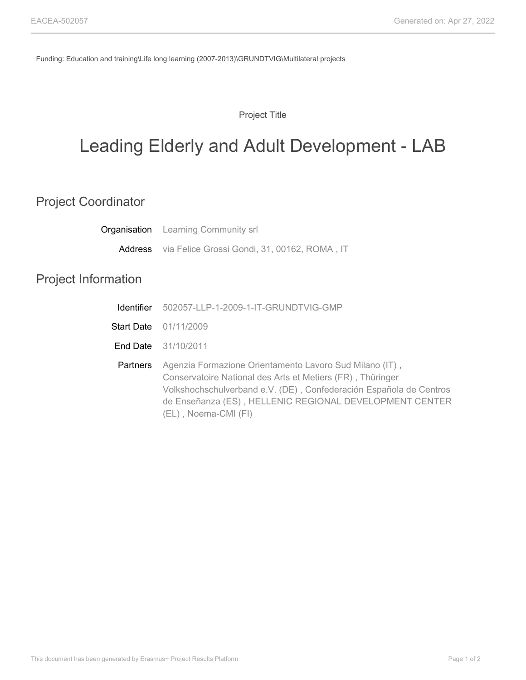Funding: Education and training\Life long learning (2007-2013)\GRUNDTVIG\Multilateral projects

Project Title

## Leading Elderly and Adult Development - LAB

## Project Coordinator

|                            | <b>Organisation</b> Learning Community srl                                                                                                                                                  |
|----------------------------|---------------------------------------------------------------------------------------------------------------------------------------------------------------------------------------------|
|                            | Address via Felice Grossi Gondi, 31, 00162, ROMA, IT                                                                                                                                        |
| <b>Project Information</b> |                                                                                                                                                                                             |
| Identifier                 | 502057-LLP-1-2009-1-IT-GRUNDTVIG-GMP                                                                                                                                                        |
|                            | <b>Start Date</b> 01/11/2009                                                                                                                                                                |
|                            | <b>End Date</b> 31/10/2011                                                                                                                                                                  |
| <b>Partners</b>            | Agenzia Formazione Orientamento Lavoro Sud Milano (IT),<br>Conservatoire National des Arts et Metiers (FR), Thüringer<br>Volkshochschulverband e.V. (DE), Confederación Española de Centros |

(EL) , Noema-CMI (FI)

de Enseñanza (ES) , HELLENIC REGIONAL DEVELOPMENT CENTER